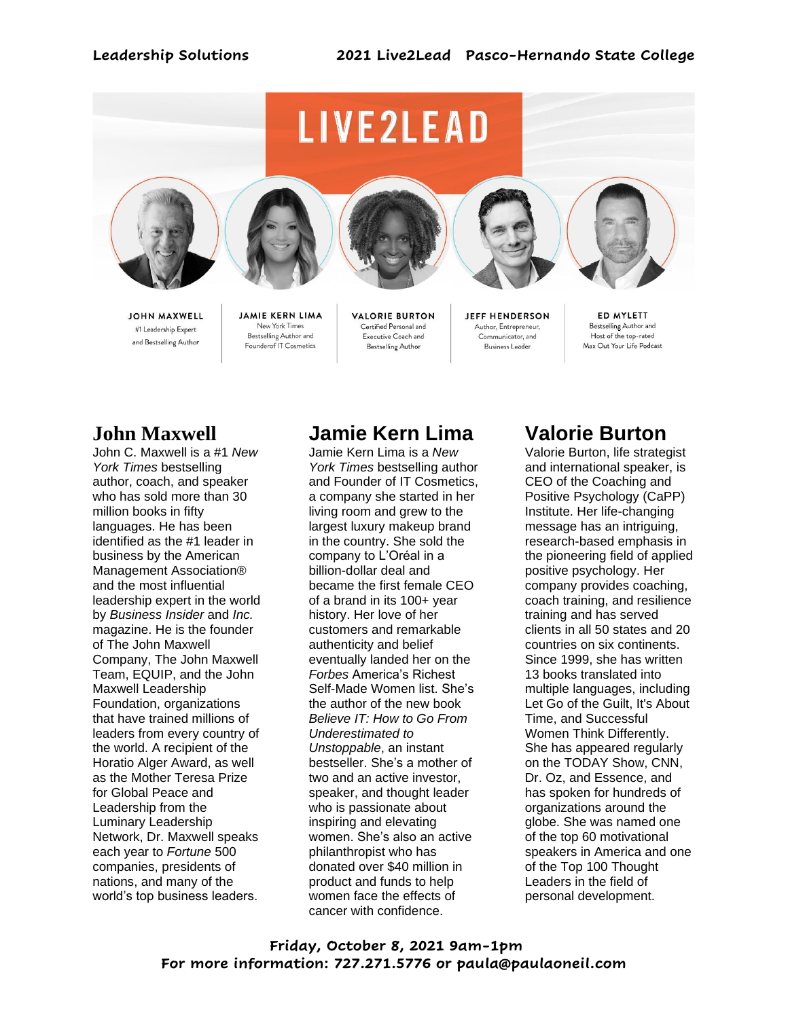

**JOHN MAXWELL** #1 Leadership Expert and Bestselling Author

**JAMIE KERN LIMA** New York Times Bestselling Author and Founderof IT Cosmetics

**VALORIE BURTON** Certified Personal and Executive Coach and Bestselling Author

**JEFF HENDERSON** Author, Entrepreneur, Communicator, and **Business Leader** 

ED MYLETT Bestselling Author and Host of the top-rated Max Out Your Life Podcast

### **John Maxwell**

John C. Maxwell is a #1 *New York Times* bestselling author, coach, and speaker who has sold more than 30 million books in fifty languages. He has been identified as the #1 leader in business by the American Management Association® and the most influential leadership expert in the world by *Business Insider* and *Inc.*  magazine. He is the founder of The John Maxwell Company, The John Maxwell Team, EQUIP, and the John Maxwell Leadership Foundation, organizations that have trained millions of leaders from every country of the world. A recipient of the Horatio Alger Award, as well as the Mother Teresa Prize for Global Peace and Leadership from the Luminary Leadership Network, Dr. Maxwell speaks each year to *Fortune* 500 companies, presidents of nations, and many of the world's top business leaders.

# **Jamie Kern Lima**

Jamie Kern Lima is a *New York Times* bestselling author and Founder of IT Cosmetics, a company she started in her living room and grew to the largest luxury makeup brand in the country. She sold the company to L'Oréal in a billion-dollar deal and became the first female CEO of a brand in its 100+ year history. Her love of her customers and remarkable authenticity and belief eventually landed her on the *Forbes* America's Richest Self-Made Women list. She's the author of the new book *Believe IT: How to Go From Underestimated to Unstoppable*, an instant bestseller. She's a mother of two and an active investor, speaker, and thought leader who is passionate about inspiring and elevating women. She's also an active philanthropist who has donated over \$40 million in product and funds to help women face the effects of cancer with confidence.

## **Valorie Burton**

Valorie Burton, life strategist and international speaker, is CEO of the Coaching and Positive Psychology (CaPP) Institute. Her life-changing message has an intriguing, research-based emphasis in the pioneering field of applied positive psychology. Her company provides coaching, coach training, and resilience training and has served clients in all 50 states and 20 countries on six continents. Since 1999, she has written 13 books translated into multiple languages, including Let Go of the Guilt, It's About Time, and Successful Women Think Differently. She has appeared regularly on the TODAY Show, CNN, Dr. Oz, and Essence, and has spoken for hundreds of organizations around the globe. She was named one of the top 60 motivational speakers in America and one of the Top 100 Thought Leaders in the field of personal development.